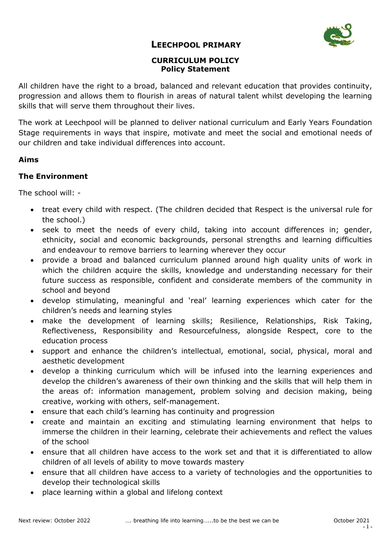

### **LEECHPOOL PRIMARY**

## **CURRICULUM POLICY Policy Statement**

All children have the right to a broad, balanced and relevant education that provides continuity, progression and allows them to flourish in areas of natural talent whilst developing the learning skills that will serve them throughout their lives.

The work at Leechpool will be planned to deliver national curriculum and Early Years Foundation Stage requirements in ways that inspire, motivate and meet the social and emotional needs of our children and take individual differences into account.

### **Aims**

### **The Environment**

The school will: -

- treat every child with respect. (The children decided that Respect is the universal rule for the school.)
- seek to meet the needs of every child, taking into account differences in; gender, ethnicity, social and economic backgrounds, personal strengths and learning difficulties and endeavour to remove barriers to learning wherever they occur
- provide a broad and balanced curriculum planned around high quality units of work in which the children acquire the skills, knowledge and understanding necessary for their future success as responsible, confident and considerate members of the community in school and beyond
- develop stimulating, meaningful and 'real' learning experiences which cater for the children's needs and learning styles
- make the development of learning skills; Resilience, Relationships, Risk Taking, Reflectiveness, Responsibility and Resourcefulness, alongside Respect, core to the education process
- support and enhance the children's intellectual, emotional, social, physical, moral and aesthetic development
- develop a thinking curriculum which will be infused into the learning experiences and develop the children's awareness of their own thinking and the skills that will help them in the areas of: information management, problem solving and decision making, being creative, working with others, self-management.
- ensure that each child's learning has continuity and progression
- create and maintain an exciting and stimulating learning environment that helps to immerse the children in their learning, celebrate their achievements and reflect the values of the school
- ensure that all children have access to the work set and that it is differentiated to allow children of all levels of ability to move towards mastery
- ensure that all children have access to a variety of technologies and the opportunities to develop their technological skills
- place learning within a global and lifelong context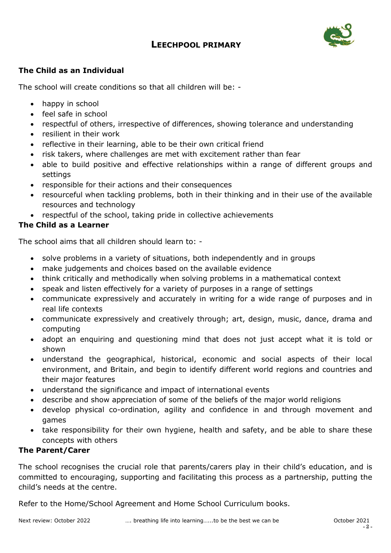# **LEECHPOOL PRIMARY**



# **The Child as an Individual**

The school will create conditions so that all children will be: -

- happy in school
- feel safe in school
- respectful of others, irrespective of differences, showing tolerance and understanding
- resilient in their work
- reflective in their learning, able to be their own critical friend
- risk takers, where challenges are met with excitement rather than fear
- able to build positive and effective relationships within a range of different groups and settings
- responsible for their actions and their consequences
- resourceful when tackling problems, both in their thinking and in their use of the available resources and technology
- respectful of the school, taking pride in collective achievements

# **The Child as a Learner**

The school aims that all children should learn to: -

- solve problems in a variety of situations, both independently and in groups
- make judgements and choices based on the available evidence
- think critically and methodically when solving problems in a mathematical context
- speak and listen effectively for a variety of purposes in a range of settings
- communicate expressively and accurately in writing for a wide range of purposes and in real life contexts
- communicate expressively and creatively through; art, design, music, dance, drama and computing
- adopt an enquiring and questioning mind that does not just accept what it is told or shown
- understand the geographical, historical, economic and social aspects of their local environment, and Britain, and begin to identify different world regions and countries and their major features
- understand the significance and impact of international events
- describe and show appreciation of some of the beliefs of the major world religions
- develop physical co-ordination, agility and confidence in and through movement and games
- take responsibility for their own hygiene, health and safety, and be able to share these concepts with others

### **The Parent/Carer**

The school recognises the crucial role that parents/carers play in their child's education, and is committed to encouraging, supporting and facilitating this process as a partnership, putting the child's needs at the centre.

Refer to the Home/School Agreement and Home School Curriculum books.